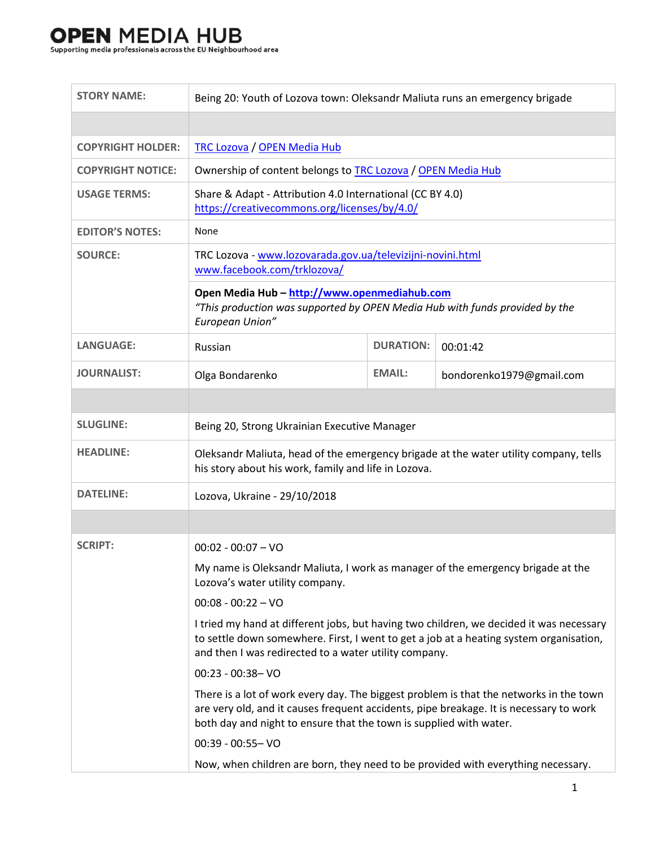## **OPEN MEDIA HUB**

÷

Supporting media professionals across the EU Neighbourhood area

| <b>STORY NAME:</b>                                                               | Being 20: Youth of Lozova town: Oleksandr Maliuta runs an emergency brigade                                                                                                                                                                            |                  |                          |  |
|----------------------------------------------------------------------------------|--------------------------------------------------------------------------------------------------------------------------------------------------------------------------------------------------------------------------------------------------------|------------------|--------------------------|--|
|                                                                                  |                                                                                                                                                                                                                                                        |                  |                          |  |
| <b>COPYRIGHT HOLDER:</b>                                                         | <b>TRC Lozova / OPEN Media Hub</b>                                                                                                                                                                                                                     |                  |                          |  |
| <b>COPYRIGHT NOTICE:</b>                                                         | Ownership of content belongs to TRC Lozova / OPEN Media Hub                                                                                                                                                                                            |                  |                          |  |
| <b>USAGE TERMS:</b>                                                              | Share & Adapt - Attribution 4.0 International (CC BY 4.0)<br>https://creativecommons.org/licenses/by/4.0/                                                                                                                                              |                  |                          |  |
| <b>EDITOR'S NOTES:</b>                                                           | None                                                                                                                                                                                                                                                   |                  |                          |  |
| <b>SOURCE:</b>                                                                   | TRC Lozova - www.lozovarada.gov.ua/televizijni-novini.html<br>www.facebook.com/trklozova/                                                                                                                                                              |                  |                          |  |
|                                                                                  | Open Media Hub - http://www.openmediahub.com<br>"This production was supported by OPEN Media Hub with funds provided by the<br>European Union"                                                                                                         |                  |                          |  |
| <b>LANGUAGE:</b>                                                                 | Russian                                                                                                                                                                                                                                                | <b>DURATION:</b> | 00:01:42                 |  |
| <b>JOURNALIST:</b>                                                               | Olga Bondarenko                                                                                                                                                                                                                                        | <b>EMAIL:</b>    | bondorenko1979@gmail.com |  |
|                                                                                  |                                                                                                                                                                                                                                                        |                  |                          |  |
| <b>SLUGLINE:</b>                                                                 | Being 20, Strong Ukrainian Executive Manager                                                                                                                                                                                                           |                  |                          |  |
| <b>HEADLINE:</b>                                                                 | Oleksandr Maliuta, head of the emergency brigade at the water utility company, tells<br>his story about his work, family and life in Lozova.                                                                                                           |                  |                          |  |
| <b>DATELINE:</b>                                                                 | Lozova, Ukraine - 29/10/2018                                                                                                                                                                                                                           |                  |                          |  |
|                                                                                  |                                                                                                                                                                                                                                                        |                  |                          |  |
| <b>SCRIPT:</b>                                                                   | $00:02 - 00:07 - VO$                                                                                                                                                                                                                                   |                  |                          |  |
|                                                                                  | My name is Oleksandr Maliuta, I work as manager of the emergency brigade at the<br>Lozova's water utility company.                                                                                                                                     |                  |                          |  |
|                                                                                  | $00:08 - 00:22 - VO$                                                                                                                                                                                                                                   |                  |                          |  |
|                                                                                  | I tried my hand at different jobs, but having two children, we decided it was necessary<br>to settle down somewhere. First, I went to get a job at a heating system organisation,<br>and then I was redirected to a water utility company.             |                  |                          |  |
|                                                                                  | $00:23 - 00:38 - VO$                                                                                                                                                                                                                                   |                  |                          |  |
|                                                                                  | There is a lot of work every day. The biggest problem is that the networks in the town<br>are very old, and it causes frequent accidents, pipe breakage. It is necessary to work<br>both day and night to ensure that the town is supplied with water. |                  |                          |  |
|                                                                                  | 00:39 - 00:55- VO                                                                                                                                                                                                                                      |                  |                          |  |
| Now, when children are born, they need to be provided with everything necessary. |                                                                                                                                                                                                                                                        |                  |                          |  |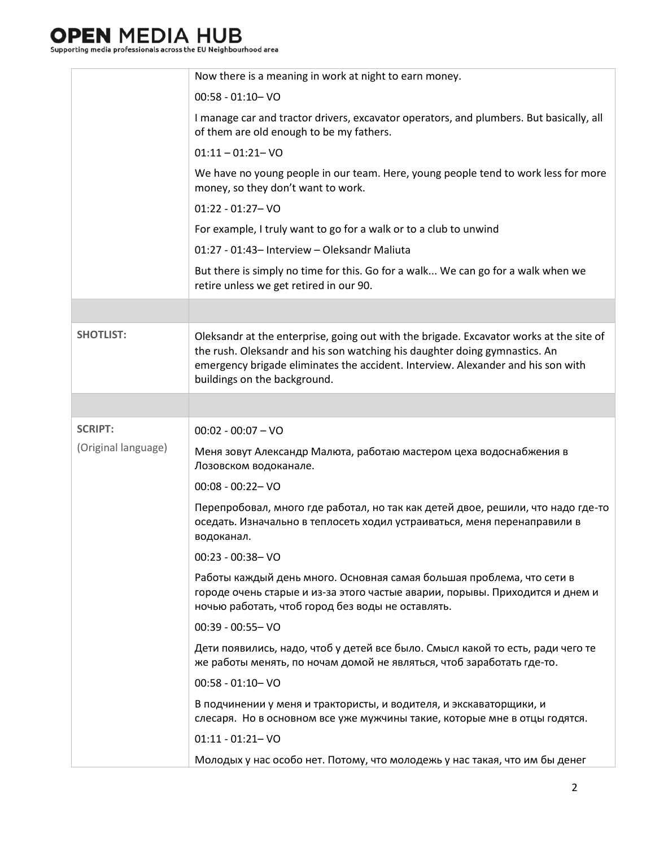## **OPEN MEDIA HUB**

Supporting media professionals across the EU Neighbourhood area

|                     | Now there is a meaning in work at night to earn money.                                                                                                                                                                                                                                    |
|---------------------|-------------------------------------------------------------------------------------------------------------------------------------------------------------------------------------------------------------------------------------------------------------------------------------------|
|                     | $00:58 - 01:10 - VO$                                                                                                                                                                                                                                                                      |
|                     | I manage car and tractor drivers, excavator operators, and plumbers. But basically, all<br>of them are old enough to be my fathers.                                                                                                                                                       |
|                     | $01:11 - 01:21 - VO$                                                                                                                                                                                                                                                                      |
|                     | We have no young people in our team. Here, young people tend to work less for more<br>money, so they don't want to work.                                                                                                                                                                  |
|                     | $01:22 - 01:27 - VO$                                                                                                                                                                                                                                                                      |
|                     | For example, I truly want to go for a walk or to a club to unwind                                                                                                                                                                                                                         |
|                     | 01:27 - 01:43- Interview - Oleksandr Maliuta                                                                                                                                                                                                                                              |
|                     | But there is simply no time for this. Go for a walk We can go for a walk when we<br>retire unless we get retired in our 90.                                                                                                                                                               |
|                     |                                                                                                                                                                                                                                                                                           |
| <b>SHOTLIST:</b>    | Oleksandr at the enterprise, going out with the brigade. Excavator works at the site of<br>the rush. Oleksandr and his son watching his daughter doing gymnastics. An<br>emergency brigade eliminates the accident. Interview. Alexander and his son with<br>buildings on the background. |
|                     |                                                                                                                                                                                                                                                                                           |
|                     |                                                                                                                                                                                                                                                                                           |
| <b>SCRIPT:</b>      | $00:02 - 00:07 - VO$                                                                                                                                                                                                                                                                      |
| (Original language) | Меня зовут Александр Малюта, работаю мастером цеха водоснабжения в<br>Лозовском водоканале.                                                                                                                                                                                               |
|                     | $00:08 - 00:22 - VO$                                                                                                                                                                                                                                                                      |
|                     | Перепробовал, много где работал, но так как детей двое, решили, что надо где-то<br>оседать. Изначально в теплосеть ходил устраиваться, меня перенаправили в<br>водоканал.                                                                                                                 |
|                     | $00:23 - 00:38 - VO$                                                                                                                                                                                                                                                                      |
|                     | Работы каждый день много. Основная самая большая проблема, что сети в<br>городе очень старые и из-за этого частые аварии, порывы. Приходится и днем и<br>ночью работать, чтоб город без воды не оставлять.                                                                                |
|                     | $00:39 - 00:55 - VO$                                                                                                                                                                                                                                                                      |
|                     | Дети появились, надо, чтоб у детей все было. Смысл какой то есть, ради чего те<br>же работы менять, по ночам домой не являться, чтоб заработать где-то.                                                                                                                                   |
|                     | $00:58 - 01:10 - VO$                                                                                                                                                                                                                                                                      |
|                     | В подчинении у меня и трактористы, и водителя, и экскаваторщики, и<br>слесаря. Но в основном все уже мужчины такие, которые мне в отцы годятся.                                                                                                                                           |
|                     | $01:11 - 01:21 - VO$                                                                                                                                                                                                                                                                      |